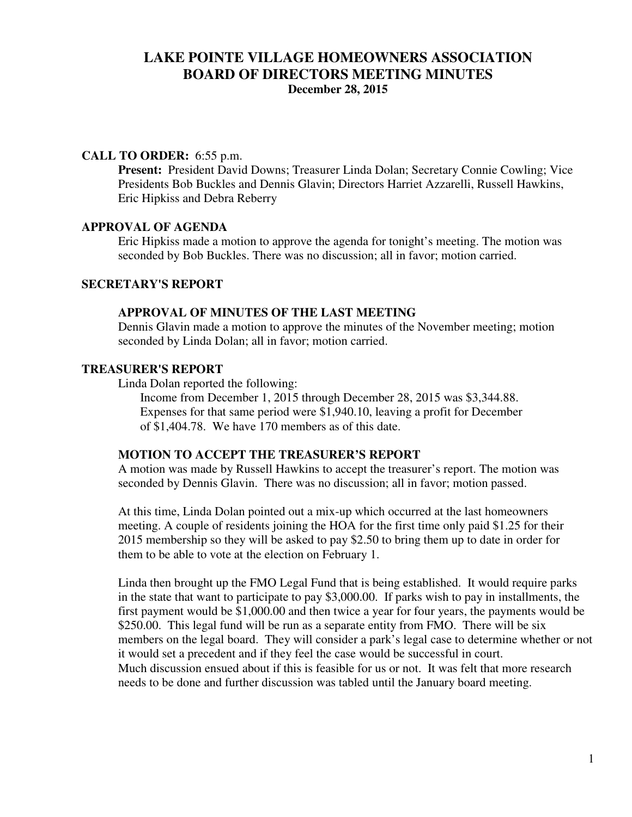## **LAKE POINTE VILLAGE HOMEOWNERS ASSOCIATION BOARD OF DIRECTORS MEETING MINUTES December 28, 2015**

#### **CALL TO ORDER:** 6:55 p.m.

Present: President David Downs; Treasurer Linda Dolan; Secretary Connie Cowling; Vice Presidents Bob Buckles and Dennis Glavin; Directors Harriet Azzarelli, Russell Hawkins, Eric Hipkiss and Debra Reberry

### **APPROVAL OF AGENDA**

 Eric Hipkiss made a motion to approve the agenda for tonight's meeting. The motion was seconded by Bob Buckles. There was no discussion; all in favor; motion carried.

### **SECRETARY'S REPORT**

### **APPROVAL OF MINUTES OF THE LAST MEETING**

Dennis Glavin made a motion to approve the minutes of the November meeting; motion seconded by Linda Dolan; all in favor; motion carried.

#### **TREASURER'S REPORT**

Linda Dolan reported the following:

 Income from December 1, 2015 through December 28, 2015 was \$3,344.88. Expenses for that same period were \$1,940.10, leaving a profit for December of \$1,404.78. We have 170 members as of this date.

## **MOTION TO ACCEPT THE TREASURER'S REPORT**

A motion was made by Russell Hawkins to accept the treasurer's report. The motion was seconded by Dennis Glavin. There was no discussion; all in favor; motion passed.

At this time, Linda Dolan pointed out a mix-up which occurred at the last homeowners meeting. A couple of residents joining the HOA for the first time only paid \$1.25 for their 2015 membership so they will be asked to pay \$2.50 to bring them up to date in order for them to be able to vote at the election on February 1.

Linda then brought up the FMO Legal Fund that is being established. It would require parks in the state that want to participate to pay \$3,000.00. If parks wish to pay in installments, the first payment would be \$1,000.00 and then twice a year for four years, the payments would be \$250.00. This legal fund will be run as a separate entity from FMO. There will be six members on the legal board. They will consider a park's legal case to determine whether or not it would set a precedent and if they feel the case would be successful in court. Much discussion ensued about if this is feasible for us or not. It was felt that more research needs to be done and further discussion was tabled until the January board meeting.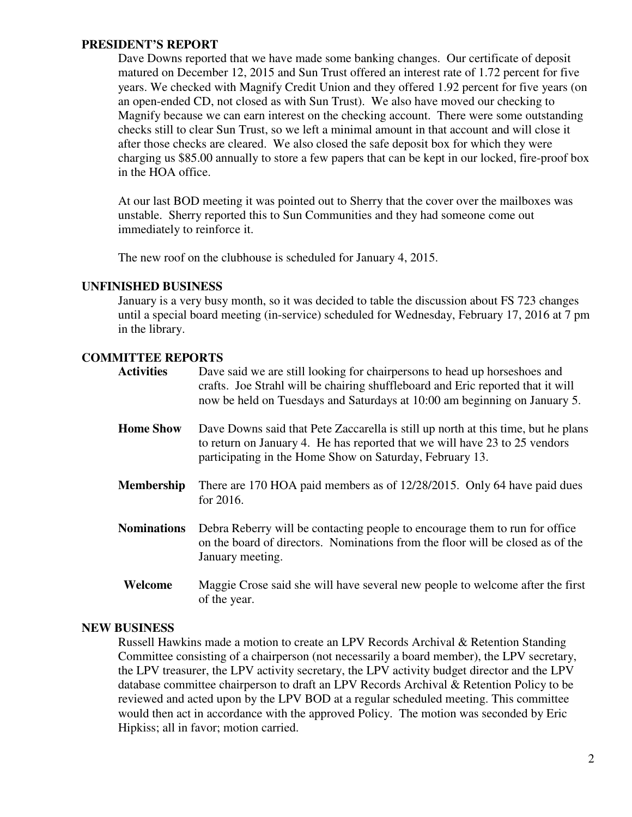### **PRESIDENT'S REPORT**

Dave Downs reported that we have made some banking changes. Our certificate of deposit matured on December 12, 2015 and Sun Trust offered an interest rate of 1.72 percent for five years. We checked with Magnify Credit Union and they offered 1.92 percent for five years (on an open-ended CD, not closed as with Sun Trust). We also have moved our checking to Magnify because we can earn interest on the checking account. There were some outstanding checks still to clear Sun Trust, so we left a minimal amount in that account and will close it after those checks are cleared. We also closed the safe deposit box for which they were charging us \$85.00 annually to store a few papers that can be kept in our locked, fire-proof box in the HOA office.

At our last BOD meeting it was pointed out to Sherry that the cover over the mailboxes was unstable. Sherry reported this to Sun Communities and they had someone come out immediately to reinforce it.

The new roof on the clubhouse is scheduled for January 4, 2015.

### **UNFINISHED BUSINESS**

January is a very busy month, so it was decided to table the discussion about FS 723 changes until a special board meeting (in-service) scheduled for Wednesday, February 17, 2016 at 7 pm in the library.

### **COMMITTEE REPORTS**

 **Activities** Dave said we are still looking for chairpersons to head up horseshoes and crafts. Joe Strahl will be chairing shuffleboard and Eric reported that it will now be held on Tuesdays and Saturdays at 10:00 am beginning on January 5.

- **Home Show** Dave Downs said that Pete Zaccarella is still up north at this time, but he plans to return on January 4. He has reported that we will have 23 to 25 vendors participating in the Home Show on Saturday, February 13.
- **Membership** There are 170 HOA paid members as of 12/28/2015. Only 64 have paid dues for 2016.
- **Nominations** Debra Reberry will be contacting people to encourage them to run for office on the board of directors. Nominations from the floor will be closed as of the January meeting.
- **Welcome** Maggie Crose said she will have several new people to welcome after the first of the year.

#### **NEW BUSINESS**

Russell Hawkins made a motion to create an LPV Records Archival & Retention Standing Committee consisting of a chairperson (not necessarily a board member), the LPV secretary, the LPV treasurer, the LPV activity secretary, the LPV activity budget director and the LPV database committee chairperson to draft an LPV Records Archival & Retention Policy to be reviewed and acted upon by the LPV BOD at a regular scheduled meeting. This committee would then act in accordance with the approved Policy. The motion was seconded by Eric Hipkiss; all in favor; motion carried.